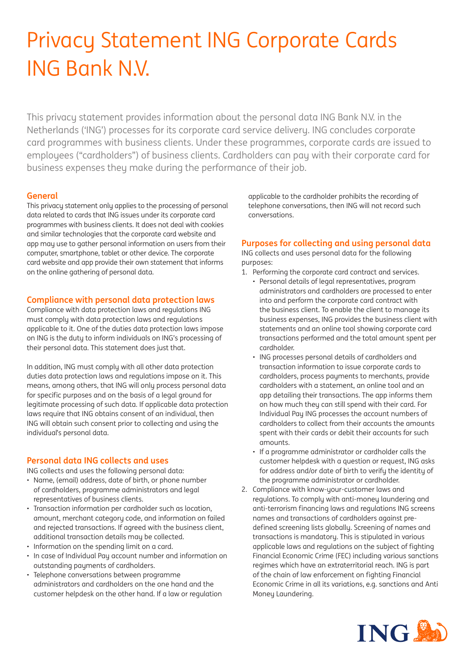# Privacy Statement ING Corporate Cards ING Bank N.V.

This privacu statement provides information about the personal data ING Bank N.V. in the Netherlands ('ING') processes for its corporate card service delivery. ING concludes corporate card programmes with business clients. Under these programmes, corporate cards are issued to employees ("cardholders") of business clients. Cardholders can pay with their corporate card for business expenses they make during the performance of their job.

## **General**

This privacu statement only applies to the processing of personal data related to cards that ING issues under its corporate card programmes with business clients. It does not deal with cookies and similar technologies that the corporate card website and app may use to gather personal information on users from their computer, smartphone, tablet or other device. The corporate card website and app provide their own statement that informs on the online gathering of personal data.

#### **Compliance with personal data protection laws**

Compliance with data protection laws and regulations ING must comply with data protection laws and regulations applicable to it. One of the duties data protection laws impose on ING is the duty to inform individuals on ING's processing of their personal data. This statement does just that.

In addition, ING must comply with all other data protection duties data protection laws and regulations impose on it. This means, among others, that ING will only process personal data for specific purposes and on the basis of a legal ground for legitimate processing of such data. If applicable data protection laws require that ING obtains consent of an individual, then ING will obtain such consent prior to collecting and using the individual's personal data.

#### **Personal data ING collects and uses**

ING collects and uses the following personal data:

- Name, (email) address, date of birth, or phone number of cardholders, programme administrators and legal representatives of business clients.
- Transaction information per cardholder such as location, amount, merchant category code, and information on failed and rejected transactions. If agreed with the business client, additional transaction details may be collected.
- Information on the spending limit on a card.
- In case of Individual Pay account number and information on outstanding payments of cardholders.
- Telephone conversations between programme administrators and cardholders on the one hand and the customer helpdesk on the other hand. If a law or regulation

applicable to the cardholder prohibits the recording of telephone conversations, then ING will not record such conversations.

## **Purposes for collecting and using personal data**

ING collects and uses personal data for the following purposes:

- 1. Performing the corporate card contract and services.
	- Personal details of legal representatives, program administrators and cardholders are processed to enter into and perform the corporate card contract with the business client. To enable the client to manage its business expenses, ING provides the business client with statements and an online tool showing corporate card transactions performed and the total amount spent per cardholder.
	- ING processes personal details of cardholders and transaction information to issue corporate cards to cardholders, process payments to merchants, provide cardholders with a statement, an online tool and an app detailing their transactions. The app informs them on how much they can still spend with their card. For Individual Pay ING processes the account numbers of cardholders to collect from their accounts the amounts spent with their cards or debit their accounts for such amounts.
	- If a programme administrator or cardholder calls the customer helpdesk with a question or request, ING asks for address and/or date of birth to verify the identity of the programme administrator or cardholder.
- 2. Compliance with know-your-customer laws and regulations. To comply with anti-money laundering and anti-terrorism financing laws and regulations ING screens names and transactions of cardholders against predefined screening lists globally. Screening of names and transactions is mandatory. This is stipulated in various applicable laws and regulations on the subject of fighting Financial Economic Crime (FEC) including various sanctions regimes which have an extraterritorial reach. ING is part of the chain of law enforcement on fighting Financial Economic Crime in all its variations, e.g. sanctions and Anti Moneu Laundering.